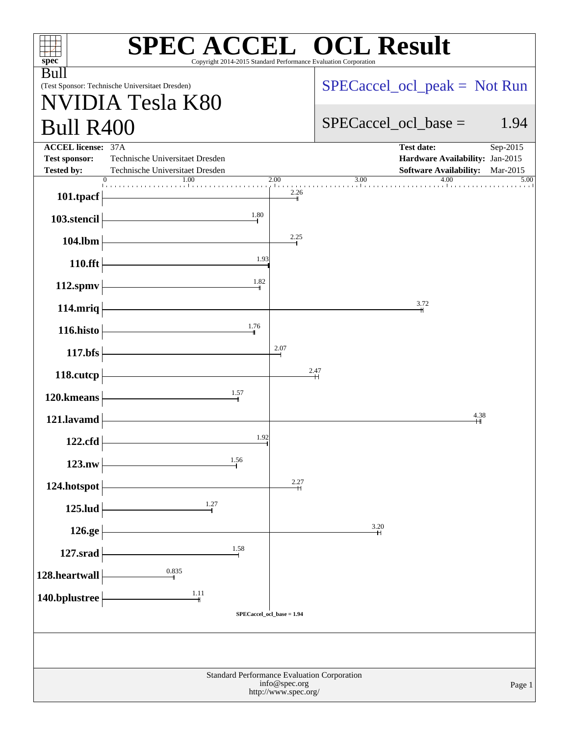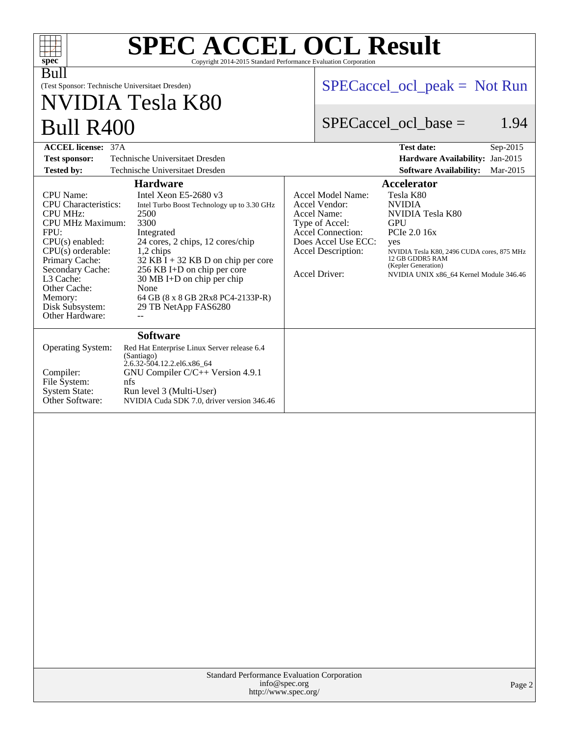| $spec^*$                                                                                                                                                                                                                                                            | <b>SPEC ACCEL OCL Result</b><br>Copyright 2014-2015 Standard Performance Evaluation Corporation                                                                                                                                                                                                                                                          |                                |                                                                                                                                                               |                                                                                                                                                                                                                               |  |  |  |
|---------------------------------------------------------------------------------------------------------------------------------------------------------------------------------------------------------------------------------------------------------------------|----------------------------------------------------------------------------------------------------------------------------------------------------------------------------------------------------------------------------------------------------------------------------------------------------------------------------------------------------------|--------------------------------|---------------------------------------------------------------------------------------------------------------------------------------------------------------|-------------------------------------------------------------------------------------------------------------------------------------------------------------------------------------------------------------------------------|--|--|--|
| Bull<br>(Test Sponsor: Technische Universitaet Dresden)                                                                                                                                                                                                             |                                                                                                                                                                                                                                                                                                                                                          |                                | $SPECaccel_{ocl\_peak} = Not Run$                                                                                                                             |                                                                                                                                                                                                                               |  |  |  |
|                                                                                                                                                                                                                                                                     | NVIDIA Tesla K80                                                                                                                                                                                                                                                                                                                                         |                                |                                                                                                                                                               |                                                                                                                                                                                                                               |  |  |  |
| <b>Bull R400</b>                                                                                                                                                                                                                                                    |                                                                                                                                                                                                                                                                                                                                                          | 1.94<br>$SPECaccel$ ocl base = |                                                                                                                                                               |                                                                                                                                                                                                                               |  |  |  |
| <b>ACCEL license: 37A</b>                                                                                                                                                                                                                                           |                                                                                                                                                                                                                                                                                                                                                          |                                |                                                                                                                                                               | <b>Test date:</b><br>Sep-2015                                                                                                                                                                                                 |  |  |  |
| <b>Test sponsor:</b>                                                                                                                                                                                                                                                | Technische Universitaet Dresden                                                                                                                                                                                                                                                                                                                          |                                |                                                                                                                                                               | Hardware Availability: Jan-2015                                                                                                                                                                                               |  |  |  |
| <b>Tested by:</b>                                                                                                                                                                                                                                                   | Technische Universitaet Dresden                                                                                                                                                                                                                                                                                                                          |                                |                                                                                                                                                               | <b>Software Availability:</b><br>Mar-2015                                                                                                                                                                                     |  |  |  |
|                                                                                                                                                                                                                                                                     | <b>Hardware</b>                                                                                                                                                                                                                                                                                                                                          |                                |                                                                                                                                                               | <b>Accelerator</b>                                                                                                                                                                                                            |  |  |  |
| <b>CPU</b> Name:<br><b>CPU</b> Characteristics:<br><b>CPU MHz:</b><br><b>CPU MHz Maximum:</b><br>FPU:<br>$CPU(s)$ enabled:<br>CPU(s) orderable:<br>Primary Cache:<br>Secondary Cache:<br>L3 Cache:<br>Other Cache:<br>Memory:<br>Disk Subsystem:<br>Other Hardware: | Intel Xeon E5-2680 $v3$<br>Intel Turbo Boost Technology up to 3.30 GHz<br>2500<br>3300<br>Integrated<br>24 cores, 2 chips, 12 cores/chip<br>1,2 chips<br>$32$ KB $\bar{1}$ + 32 KB D on chip per core<br>256 KB I+D on chip per core<br>$30 \text{ MB}$ I+D on chip per chip<br>None<br>64 GB (8 x 8 GB 2Rx8 PC4-2133P-R)<br>29 TB NetApp FAS6280<br>$-$ |                                | Accel Model Name:<br>Accel Vendor:<br>Accel Name:<br>Type of Accel:<br><b>Accel Connection:</b><br>Does Accel Use ECC:<br>Accel Description:<br>Accel Driver: | Tesla K80<br><b>NVIDIA</b><br><b>NVIDIA Tesla K80</b><br><b>GPU</b><br>PCIe 2.0 16x<br>yes<br>NVIDIA Tesla K80, 2496 CUDA cores, 875 MHz<br>12 GB GDDR5 RAM<br>(Kepler Generation)<br>NVIDIA UNIX x86 64 Kernel Module 346.46 |  |  |  |
| Operating System:<br>Compiler:<br>File System:<br><b>System State:</b><br>Other Software:                                                                                                                                                                           | <b>Software</b><br>Red Hat Enterprise Linux Server release 6.4<br>(Santiago)<br>2.6.32-504.12.2.el6.x86 64<br>GNU Compiler C/C++ Version 4.9.1<br>nfs<br>Run level 3 (Multi-User)<br>NVIDIA Cuda SDK 7.0, driver version 346.46                                                                                                                          |                                |                                                                                                                                                               |                                                                                                                                                                                                                               |  |  |  |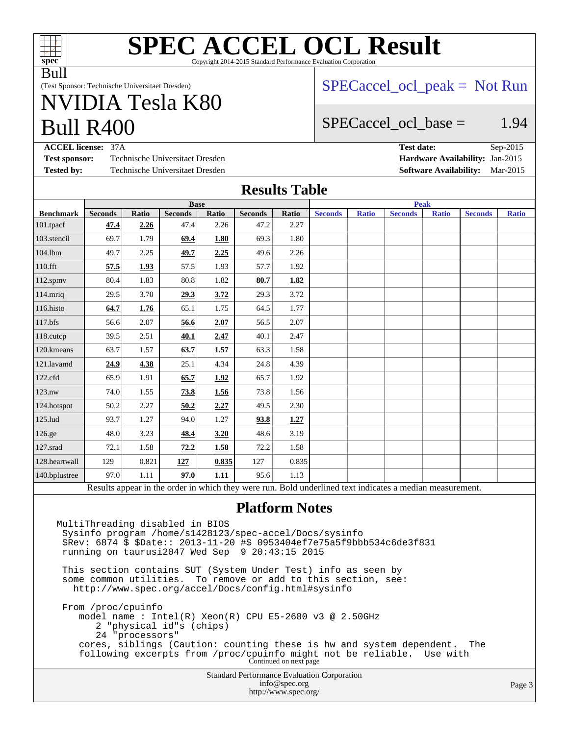

#### **[SPEC ACCEL OCL Result](http://www.spec.org/auto/accel/Docs/result-fields.html#SPECACCELOCLResult)** Copyright 2014-2015 Standard Performance Evaluation Corporation

Bull

(Test Sponsor: Technische Universitaet Dresden)

# Bull R400 NVIDIA Tesla K80

#### $SPECaccel$  ocl peak = Not Run

### SPECaccel ocl base  $=$  1.94

**[ACCEL license:](http://www.spec.org/auto/accel/Docs/result-fields.html#ACCELlicense)** 37A **[Test date:](http://www.spec.org/auto/accel/Docs/result-fields.html#Testdate)** Sep-2015 **[Test sponsor:](http://www.spec.org/auto/accel/Docs/result-fields.html#Testsponsor)** Technische Universitaet Dresden **[Hardware Availability:](http://www.spec.org/auto/accel/Docs/result-fields.html#HardwareAvailability)** Jan-2015 **[Tested by:](http://www.spec.org/auto/accel/Docs/result-fields.html#Testedby)** Technische Universitaet Dresden **[Software Availability:](http://www.spec.org/auto/accel/Docs/result-fields.html#SoftwareAvailability)** Mar-2015

#### **[Results Table](http://www.spec.org/auto/accel/Docs/result-fields.html#ResultsTable)**

|                                                                                                          | <b>Base</b>    |       |                |       |                | <b>Peak</b> |                |              |                |              |                |              |
|----------------------------------------------------------------------------------------------------------|----------------|-------|----------------|-------|----------------|-------------|----------------|--------------|----------------|--------------|----------------|--------------|
| <b>Benchmark</b>                                                                                         | <b>Seconds</b> | Ratio | <b>Seconds</b> | Ratio | <b>Seconds</b> | Ratio       | <b>Seconds</b> | <b>Ratio</b> | <b>Seconds</b> | <b>Ratio</b> | <b>Seconds</b> | <b>Ratio</b> |
| 101.tpacf                                                                                                | 47.4           | 2.26  | 47.4           | 2.26  | 47.2           | 2.27        |                |              |                |              |                |              |
| 103.stencil                                                                                              | 69.7           | 1.79  | 69.4           | 1.80  | 69.3           | 1.80        |                |              |                |              |                |              |
| 104.1bm                                                                                                  | 49.7           | 2.25  | 49.7           | 2.25  | 49.6           | 2.26        |                |              |                |              |                |              |
| 110.fft                                                                                                  | 57.5           | 1.93  | 57.5           | 1.93  | 57.7           | 1.92        |                |              |                |              |                |              |
| 112.spmv                                                                                                 | 80.4           | 1.83  | 80.8           | 1.82  | 80.7           | 1.82        |                |              |                |              |                |              |
| 114.mriq                                                                                                 | 29.5           | 3.70  | 29.3           | 3.72  | 29.3           | 3.72        |                |              |                |              |                |              |
| 116.histo                                                                                                | 64.7           | 1.76  | 65.1           | 1.75  | 64.5           | 1.77        |                |              |                |              |                |              |
| $117.$ bfs                                                                                               | 56.6           | 2.07  | 56.6           | 2.07  | 56.5           | 2.07        |                |              |                |              |                |              |
| 118.cutcp                                                                                                | 39.5           | 2.51  | 40.1           | 2.47  | 40.1           | 2.47        |                |              |                |              |                |              |
| 120.kmeans                                                                                               | 63.7           | 1.57  | 63.7           | 1.57  | 63.3           | 1.58        |                |              |                |              |                |              |
| 121.lavamd                                                                                               | 24.9           | 4.38  | 25.1           | 4.34  | 24.8           | 4.39        |                |              |                |              |                |              |
| 122.cfd                                                                                                  | 65.9           | 1.91  | 65.7           | 1.92  | 65.7           | 1.92        |                |              |                |              |                |              |
| 123.nw                                                                                                   | 74.0           | 1.55  | 73.8           | 1.56  | 73.8           | 1.56        |                |              |                |              |                |              |
| 124.hotspot                                                                                              | 50.2           | 2.27  | 50.2           | 2.27  | 49.5           | 2.30        |                |              |                |              |                |              |
| 125.lud                                                                                                  | 93.7           | 1.27  | 94.0           | 1.27  | 93.8           | 1.27        |                |              |                |              |                |              |
| 126.ge                                                                                                   | 48.0           | 3.23  | 48.4           | 3.20  | 48.6           | 3.19        |                |              |                |              |                |              |
| 127.srad                                                                                                 | 72.1           | 1.58  | 72.2           | 1.58  | 72.2           | 1.58        |                |              |                |              |                |              |
| 128.heartwall                                                                                            | 129            | 0.821 | 127            | 0.835 | 127            | 0.835       |                |              |                |              |                |              |
| 140.bplustree                                                                                            | 97.0           | 1.11  | 97.0           | 1.11  | 95.6           | 1.13        |                |              |                |              |                |              |
| Results appear in the order in which they were run. Bold underlined text indicates a median measurement. |                |       |                |       |                |             |                |              |                |              |                |              |

#### **[Platform Notes](http://www.spec.org/auto/accel/Docs/result-fields.html#PlatformNotes)**

Standard Performance Evaluation Corporation [info@spec.org](mailto:info@spec.org) <http://www.spec.org/> Page 3 MultiThreading disabled in BIOS Sysinfo program /home/s1428123/spec-accel/Docs/sysinfo \$Rev: 6874 \$ \$Date:: 2013-11-20 #\$ 0953404ef7e75a5f9bbb534c6de3f831 running on taurusi2047 Wed Sep 9 20:43:15 2015 This section contains SUT (System Under Test) info as seen by some common utilities. To remove or add to this section, see: <http://www.spec.org/accel/Docs/config.html#sysinfo> From /proc/cpuinfo model name : Intel(R) Xeon(R) CPU E5-2680 v3 @ 2.50GHz 2 "physical id"s (chips) 24 "processors" cores, siblings (Caution: counting these is hw and system dependent. The following excerpts from /proc/cpuinfo might not be reliable. Use with Continued on next page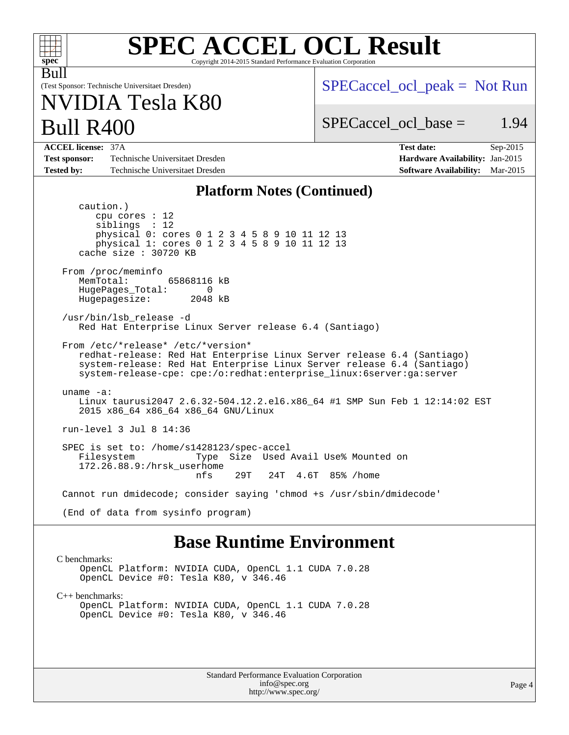| <b>SPEC ACCEL OCL Result</b><br>$spec^*$<br>Copyright 2014-2015 Standard Performance Evaluation Corporation                                                                                                                                                    |                                                                                                               |  |  |  |  |  |  |
|----------------------------------------------------------------------------------------------------------------------------------------------------------------------------------------------------------------------------------------------------------------|---------------------------------------------------------------------------------------------------------------|--|--|--|--|--|--|
| Bull<br>(Test Sponsor: Technische Universitaet Dresden)<br>NVIDIA Tesla K80                                                                                                                                                                                    | $SPECaccel_{ocl\_peak} = Not Run$                                                                             |  |  |  |  |  |  |
| <b>Bull R400</b>                                                                                                                                                                                                                                               | $SPECaccel_{\text{ocl}}$ base =<br>1.94                                                                       |  |  |  |  |  |  |
| <b>ACCEL license: 37A</b><br>Technische Universitaet Dresden<br><b>Test sponsor:</b><br><b>Tested by:</b><br>Technische Universitaet Dresden                                                                                                                   | <b>Test date:</b><br>Sep-2015<br>Hardware Availability: Jan-2015<br><b>Software Availability:</b><br>Mar-2015 |  |  |  |  |  |  |
| <b>Platform Notes (Continued)</b>                                                                                                                                                                                                                              |                                                                                                               |  |  |  |  |  |  |
| caution.)<br>$cpu$ cores : 12<br>sibling: 12<br>physical 0: cores 0 1 2 3 4 5 8 9 10 11 12 13<br>physical 1: cores 0 1 2 3 4 5 8 9 10 11 12 13<br>cache size $: 30720$ KB<br>From /proc/meminfo<br>MemTotal:<br>65868116 kB<br>HugePages_Total:<br>0           |                                                                                                               |  |  |  |  |  |  |
| Hugepagesize:<br>2048 kB                                                                                                                                                                                                                                       |                                                                                                               |  |  |  |  |  |  |
| /usr/bin/lsb release -d<br>Red Hat Enterprise Linux Server release 6.4 (Santiago)                                                                                                                                                                              |                                                                                                               |  |  |  |  |  |  |
| From /etc/*release* /etc/*version*<br>redhat-release: Red Hat Enterprise Linux Server release 6.4 (Santiago)<br>system-release: Red Hat Enterprise Linux Server release 6.4 (Santiago)<br>system-release-cpe: cpe:/o:redhat:enterprise_linux:6server:ga:server |                                                                                                               |  |  |  |  |  |  |
| uname $-a$ :<br>Linux taurusi2047 2.6.32-504.12.2.el6.x86_64 #1 SMP Sun Feb 1 12:14:02 EST<br>2015 x86_64 x86_64 x86_64 GNU/Linux                                                                                                                              |                                                                                                               |  |  |  |  |  |  |
| run-level 3 Jul 8 14:36                                                                                                                                                                                                                                        |                                                                                                               |  |  |  |  |  |  |
| SPEC is set to: /home/s1428123/spec-accel<br>Filesystem<br>Type<br>172.26.88.9:/hrsk_userhome<br>29T<br>nfs<br>24T 4.6T                                                                                                                                        | Size Used Avail Use% Mounted on<br>85% /home                                                                  |  |  |  |  |  |  |
| Cannot run dmidecode; consider saying 'chmod +s /usr/sbin/dmidecode'                                                                                                                                                                                           |                                                                                                               |  |  |  |  |  |  |
| (End of data from sysinfo program)                                                                                                                                                                                                                             |                                                                                                               |  |  |  |  |  |  |
| <b>Base Runtime Environment</b>                                                                                                                                                                                                                                |                                                                                                               |  |  |  |  |  |  |

[C benchmarks](http://www.spec.org/auto/accel/Docs/result-fields.html#Cbenchmarks):

OpenCL Platform: NVIDIA CUDA, OpenCL 1.1 CUDA 7.0.28 OpenCL Device #0: Tesla K80, v 346.46

[C++ benchmarks:](http://www.spec.org/auto/accel/Docs/result-fields.html#CXXbenchmarks)

OpenCL Platform: NVIDIA CUDA, OpenCL 1.1 CUDA 7.0.28 OpenCL Device #0: Tesla K80, v 346.46

> Standard Performance Evaluation Corporation [info@spec.org](mailto:info@spec.org) <http://www.spec.org/>